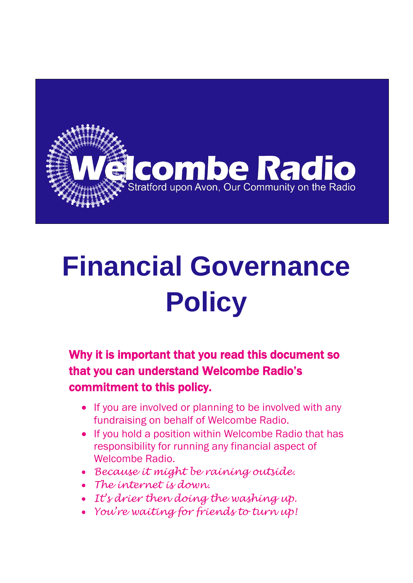

# **Financial Governance Policy**

 Why it is important that you read this document so that you can understand Welcombe Radio's commitment to this policy.

- • If you are involved or planning to be involved with any fundraising on behalf of Welcombe Radio.
- • If you hold a position within Welcombe Radio that has responsibility for running any financial aspect of Welcombe Radio.
- *Because it might be raining outside.*
- Ï • *The internet is down.*
- *It's drier then doing the washing up.*
- *You're waiting for friends to turn up!*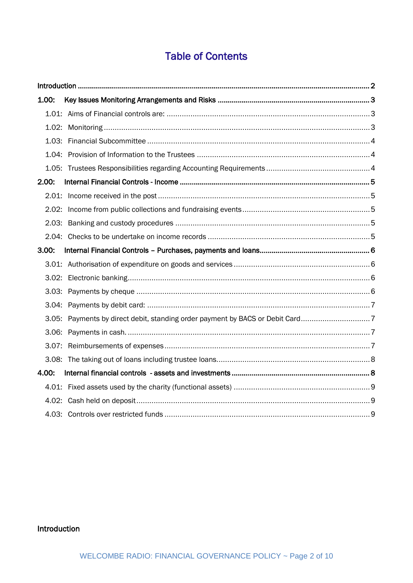# **Table of Contents**

| 1.00: |                                                                               |  |  |  |
|-------|-------------------------------------------------------------------------------|--|--|--|
|       |                                                                               |  |  |  |
| 1.02: |                                                                               |  |  |  |
|       |                                                                               |  |  |  |
|       |                                                                               |  |  |  |
|       |                                                                               |  |  |  |
| 2.00: |                                                                               |  |  |  |
|       |                                                                               |  |  |  |
|       |                                                                               |  |  |  |
|       |                                                                               |  |  |  |
|       |                                                                               |  |  |  |
| 3.00: |                                                                               |  |  |  |
|       |                                                                               |  |  |  |
|       |                                                                               |  |  |  |
|       |                                                                               |  |  |  |
|       |                                                                               |  |  |  |
|       | 3.05: Payments by direct debit, standing order payment by BACS or Debit Card7 |  |  |  |
|       |                                                                               |  |  |  |
|       |                                                                               |  |  |  |
|       |                                                                               |  |  |  |
| 4.00: |                                                                               |  |  |  |
|       |                                                                               |  |  |  |
|       |                                                                               |  |  |  |
|       |                                                                               |  |  |  |

## <span id="page-1-0"></span>Introduction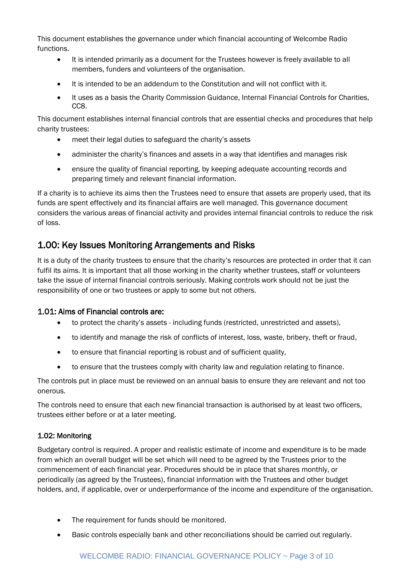This document establishes the governance under which financial accounting of Welcombe Radio functions.

- It is intended primarily as a document for the Trustees however is freely available to all members, funders and volunteers of the organisation.
- It is intended to be an addendum to the Constitution and will not conflict with it.
- It uses as a basis the Charity Commission Guidance, Internal Financial Controls for Charities, CC8.

This document establishes internal financial controls that are essential checks and procedures that help charity trustees:

- meet their legal duties to safeguard the charity's assets
- administer the charity's finances and assets in a way that identifies and manages risk
- ensure the quality of financial reporting, by keeping adequate accounting records and preparing timely and relevant financial information.

If a charity is to achieve its aims then the Trustees need to ensure that assets are properly used, that its funds are spent effectively and its financial affairs are well managed. This governance document considers the various areas of financial activity and provides internal financial controls to reduce the risk of loss.

## <span id="page-2-0"></span>1.00: Key Issues Monitoring Arrangements and Risks

It is a duty of the charity trustees to ensure that the charity's resources are protected in order that it can fulfil its aims. It is important that all those working in the charity whether trustees, staff or volunteers take the issue of internal financial controls seriously. Making controls work should not be just the responsibility of one or two trustees or apply to some but not others.

#### <span id="page-2-1"></span>1.01: Aims of Financial controls are:

- to protect the charity's assets including funds (restricted, unrestricted and assets),
- to identify and manage the risk of conflicts of interest, loss, waste, bribery, theft or fraud,
- to ensure that financial reporting is robust and of sufficient quality,
- to ensure that the trustees comply with charity law and regulation relating to finance.

The controls put in place must be reviewed on an annual basis to ensure they are relevant and not too onerous.

The controls need to ensure that each new financial transaction is authorised by at least two officers, trustees either before or at a later meeting.

#### <span id="page-2-2"></span>1.02: Monitoring

Budgetary control is required. A proper and realistic estimate of income and expenditure is to be made from which an overall budget will be set which will need to be agreed by the Trustees prior to the commencement of each financial year. Procedures should be in place that shares monthly, or periodically (as agreed by the Trustees), financial information with the Trustees and other budget holders, and, if applicable, over or underperformance of the income and expenditure of the organisation.

- The requirement for funds should be monitored.
- Basic controls especially bank and other reconciliations should be carried out regularly.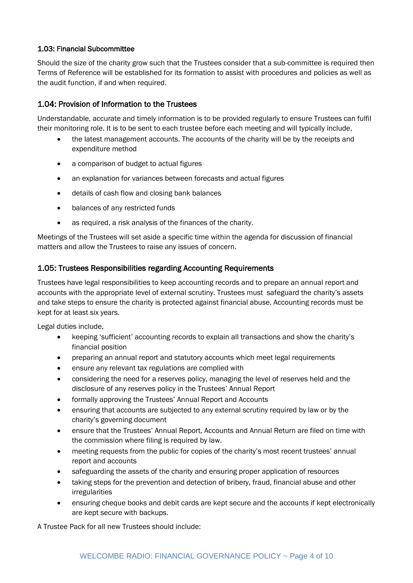#### <span id="page-3-0"></span>1.03: Financial Subcommittee

Should the size of the charity grow such that the Trustees consider that a sub-committee is required then Terms of Reference will be established for its formation to assist with procedures and policies as well as the audit function, if and when required.

#### <span id="page-3-1"></span>1.04: Provision of Information to the Trustees

Understandable, accurate and timely information is to be provided regularly to ensure Trustees can fulfil their monitoring role. It is to be sent to each trustee before each meeting and will typically include,

- the latest management accounts. The accounts of the charity will be by the receipts and expenditure method
- a comparison of budget to actual figures
- an explanation for variances between forecasts and actual figures
- details of cash flow and closing bank balances
- balances of any restricted funds
- as required, a risk analysis of the finances of the charity.

Meetings of the Trustees will set aside a specific time within the agenda for discussion of financial matters and allow the Trustees to raise any issues of concern.

#### <span id="page-3-2"></span>1.05: Trustees Responsibilities regarding Accounting Requirements

Trustees have legal responsibilities to keep accounting records and to prepare an annual report and accounts with the appropriate level of external scrutiny. Trustees must safeguard the charity's assets and take steps to ensure the charity is protected against financial abuse. Accounting records must be kept for at least six years.

Legal duties include,

- keeping 'sufficient' accounting records to explain all transactions and show the charity's financial position
- preparing an annual report and statutory accounts which meet legal requirements
- ensure any relevant tax regulations are complied with
- considering the need for a reserves policy, managing the level of reserves held and the disclosure of any reserves policy in the Trustees' Annual Report
- formally approving the Trustees' Annual Report and Accounts
- ensuring that accounts are subjected to any external scrutiny required by law or by the charity's governing document
- ensure that the Trustees' Annual Report, Accounts and Annual Return are filed on time with the commission where filing is required by law.
- meeting requests from the public for copies of the charity's most recent trustees' annual report and accounts
- safeguarding the assets of the charity and ensuring proper application of resources
- taking steps for the prevention and detection of bribery, fraud, financial abuse and other irregularities
- ensuring cheque books and debit cards are kept secure and the accounts if kept electronically are kept secure with backups.

A Trustee Pack for all new Trustees should include: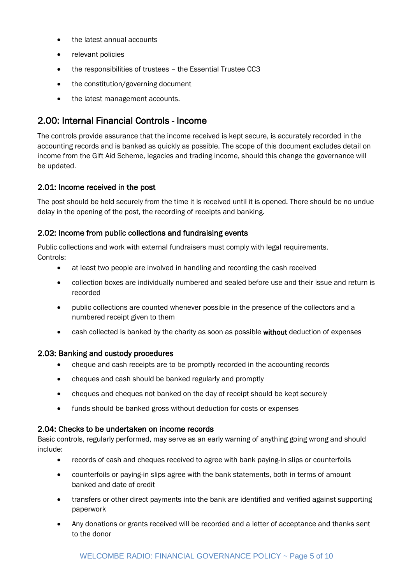- the latest annual accounts
- relevant policies
- the responsibilities of trustees the Essential Trustee CC3
- the constitution/governing document
- the latest management accounts.

## <span id="page-4-0"></span>2.00: Internal Financial Controls - Income

The controls provide assurance that the income received is kept secure, is accurately recorded in the accounting records and is banked as quickly as possible. The scope of this document excludes detail on income from the Gift Aid Scheme, legacies and trading income, should this change the governance will be updated.

#### <span id="page-4-1"></span>2.01: Income received in the post

The post should be held securely from the time it is received until it is opened. There should be no undue delay in the opening of the post, the recording of receipts and banking.

#### <span id="page-4-2"></span>2.02: Income from public collections and fundraising events

Public collections and work with external fundraisers must comply with legal requirements. Controls:

- at least two people are involved in handling and recording the cash received
- collection boxes are individually numbered and sealed before use and their issue and return is recorded
- public collections are counted whenever possible in the presence of the collectors and a numbered receipt given to them
- cash collected is banked by the charity as soon as possible without deduction of expenses

#### <span id="page-4-3"></span>2.03: Banking and custody procedures

- cheque and cash receipts are to be promptly recorded in the accounting records
- cheques and cash should be banked regularly and promptly
- cheques and cheques not banked on the day of receipt should be kept securely
- funds should be banked gross without deduction for costs or expenses

#### <span id="page-4-4"></span>2.04: Checks to be undertaken on income records

Basic controls, regularly performed, may serve as an early warning of anything going wrong and should include:

- records of cash and cheques received to agree with bank paying-in slips or counterfoils
- counterfoils or paying-in slips agree with the bank statements, both in terms of amount banked and date of credit
- transfers or other direct payments into the bank are identified and verified against supporting paperwork
- Any donations or grants received will be recorded and a letter of acceptance and thanks sent to the donor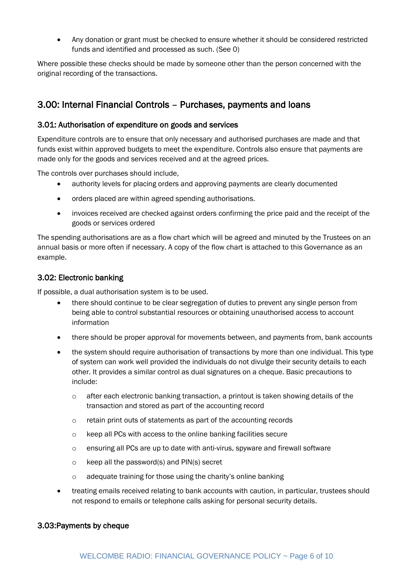• Any donation or grant must be checked to ensure whether it should be considered restricted funds and identified and processed as such. (See [0\)](#page-8-2)

Where possible these checks should be made by someone other than the person concerned with the original recording of the transactions.

## <span id="page-5-0"></span>3.00: Internal Financial Controls – Purchases, payments and loans

#### <span id="page-5-1"></span>3.01: Authorisation of expenditure on goods and services

Expenditure controls are to ensure that only necessary and authorised purchases are made and that funds exist within approved budgets to meet the expenditure. Controls also ensure that payments are made only for the goods and services received and at the agreed prices.

The controls over purchases should include,

- authority levels for placing orders and approving payments are clearly documented
- orders placed are within agreed spending authorisations.
- invoices received are checked against orders confirming the price paid and the receipt of the goods or services ordered

The spending authorisations are as a flow chart which will be agreed and minuted by the Trustees on an annual basis or more often if necessary. A copy of the flow chart is attached to this Governance as an example.

#### <span id="page-5-2"></span>3.02: Electronic banking

If possible, a dual authorisation system is to be used.

- there should continue to be clear segregation of duties to prevent any single person from being able to control substantial resources or obtaining unauthorised access to account information
- there should be proper approval for movements between, and payments from, bank accounts
- the system should require authorisation of transactions by more than one individual. This type of system can work well provided the individuals do not divulge their security details to each other. It provides a similar control as dual signatures on a cheque. Basic precautions to include:
	- o after each electronic banking transaction, a printout is taken showing details of the transaction and stored as part of the accounting record
	- o retain print outs of statements as part of the accounting records
	- o keep all PCs with access to the online banking facilities secure
	- o ensuring all PCs are up to date with anti-virus, spyware and firewall software
	- o keep all the password(s) and PIN(s) secret
	- o adequate training for those using the charity's online banking
- treating emails received relating to bank accounts with caution, in particular, trustees should not respond to emails or telephone calls asking for personal security details.

#### <span id="page-5-3"></span>3.03:Payments by cheque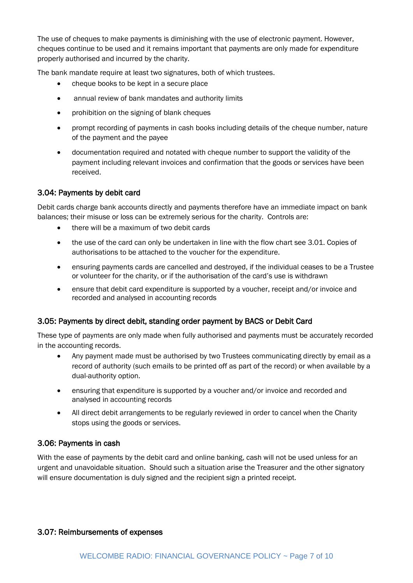The use of cheques to make payments is diminishing with the use of electronic payment. However, cheques continue to be used and it remains important that payments are only made for expenditure properly authorised and incurred by the charity.

The bank mandate require at least two signatures, both of which trustees.

- cheque books to be kept in a secure place
- annual review of bank mandates and authority limits
- prohibition on the signing of blank cheques
- prompt recording of payments in cash books including details of the cheque number, nature of the payment and the payee
- documentation required and notated with cheque number to support the validity of the payment including relevant invoices and confirmation that the goods or services have been received.

#### <span id="page-6-0"></span>3.04: Payments by debit card

Debit cards charge bank accounts directly and payments therefore have an immediate impact on bank balances; their misuse or loss can be extremely serious for the charity. Controls are:

- there will be a maximum of two debit cards
- the use of the card can only be undertaken in line with the flow chart see 3.01. Copies of authorisations to be attached to the voucher for the expenditure.
- ensuring payments cards are cancelled and destroyed, if the individual ceases to be a Trustee or volunteer for the charity, or if the authorisation of the card's use is withdrawn
- ensure that debit card expenditure is supported by a voucher, receipt and/or invoice and recorded and analysed in accounting records

#### <span id="page-6-1"></span>3.05: Payments by direct debit, standing order payment by BACS or Debit Card

These type of payments are only made when fully authorised and payments must be accurately recorded in the accounting records.

- Any payment made must be authorised by two Trustees communicating directly by email as a record of authority (such emails to be printed off as part of the record) or when available by a dual-authority option.
- ensuring that expenditure is supported by a voucher and/or invoice and recorded and analysed in accounting records
- All direct debit arrangements to be regularly reviewed in order to cancel when the Charity stops using the goods or services.

#### <span id="page-6-2"></span>3.06: Payments in cash

With the ease of payments by the debit card and online banking, cash will not be used unless for an urgent and unavoidable situation. Should such a situation arise the Treasurer and the other signatory will ensure documentation is duly signed and the recipient sign a printed receipt.

#### <span id="page-6-3"></span>3.07: Reimbursements of expenses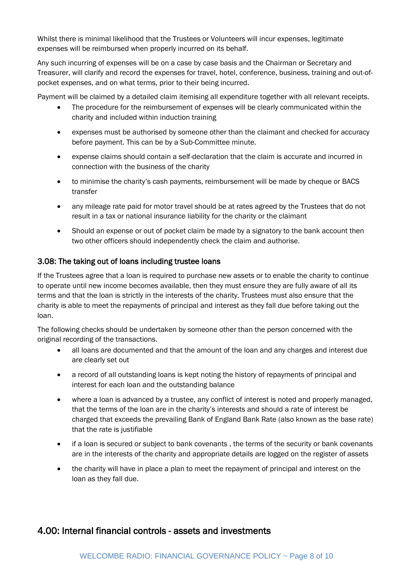Whilst there is minimal likelihood that the Trustees or Volunteers will incur expenses, legitimate expenses will be reimbursed when properly incurred on its behalf.

Any such incurring of expenses will be on a case by case basis and the Chairman or Secretary and Treasurer, will clarify and record the expenses for travel, hotel, conference, business, training and out-ofpocket expenses, and on what terms, prior to their being incurred.

Payment will be claimed by a detailed claim itemising all expenditure together with all relevant receipts.

- The procedure for the reimbursement of expenses will be clearly communicated within the charity and included within induction training
- expenses must be authorised by someone other than the claimant and checked for accuracy before payment. This can be by a Sub-Committee minute.
- expense claims should contain a self-declaration that the claim is accurate and incurred in connection with the business of the charity
- to minimise the charity's cash payments, reimbursement will be made by cheque or BACS transfer
- any mileage rate paid for motor travel should be at rates agreed by the Trustees that do not result in a tax or national insurance liability for the charity or the claimant
- Should an expense or out of pocket claim be made by a signatory to the bank account then two other officers should independently check the claim and authorise.

#### <span id="page-7-0"></span>3.08: The taking out of loans including trustee loans

If the Trustees agree that a loan is required to purchase new assets or to enable the charity to continue to operate until new income becomes available, then they must ensure they are fully aware of all its terms and that the loan is strictly in the interests of the charity. Trustees must also ensure that the charity is able to meet the repayments of principal and interest as they fall due before taking out the loan.

The following checks should be undertaken by someone other than the person concerned with the original recording of the transactions.

- all loans are documented and that the amount of the loan and any charges and interest due are clearly set out
- a record of all outstanding loans is kept noting the history of repayments of principal and interest for each loan and the outstanding balance
- where a loan is advanced by a trustee, any conflict of interest is noted and properly managed, that the terms of the loan are in the charity's interests and should a rate of interest be charged that exceeds the prevailing Bank of England Bank Rate (also known as the base rate) that the rate is justifiable
- if a loan is secured or subject to bank covenants , the terms of the security or bank covenants are in the interests of the charity and appropriate details are logged on the register of assets
- the charity will have in place a plan to meet the repayment of principal and interest on the loan as they fall due.

## <span id="page-7-1"></span>4.00: Internal financial controls - assets and investments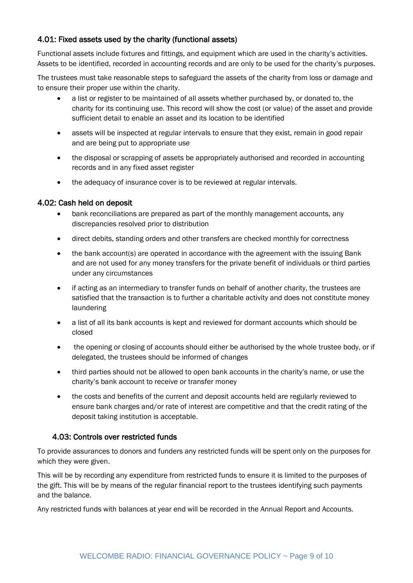#### <span id="page-8-0"></span>4.01: Fixed assets used by the charity (functional assets)

Functional assets include fixtures and fittings, and equipment which are used in the charity's activities. Assets to be identified, recorded in accounting records and are only to be used for the charity's purposes.

The trustees must take reasonable steps to safeguard the assets of the charity from loss or damage and to ensure their proper use within the charity.

- a list or register to be maintained of all assets whether purchased by, or donated to, the charity for its continuing use. This record will show the cost (or value) of the asset and provide sufficient detail to enable an asset and its location to be identified
- assets will be inspected at regular intervals to ensure that they exist, remain in good repair and are being put to appropriate use
- the disposal or scrapping of assets be appropriately authorised and recorded in accounting records and in any fixed asset register
- the adequacy of insurance cover is to be reviewed at regular intervals.

#### <span id="page-8-1"></span>4.02: Cash held on deposit

- bank reconciliations are prepared as part of the monthly management accounts, any discrepancies resolved prior to distribution
- direct debits, standing orders and other transfers are checked monthly for correctness
- the bank account(s) are operated in accordance with the agreement with the issuing Bank and are not used for any money transfers for the private benefit of individuals or third parties under any circumstances
- if acting as an intermediary to transfer funds on behalf of another charity, the trustees are satisfied that the transaction is to further a charitable activity and does not constitute money laundering
- a list of all its bank accounts is kept and reviewed for dormant accounts which should be closed
- the opening or closing of accounts should either be authorised by the whole trustee body, or if delegated, the trustees should be informed of changes
- third parties should not be allowed to open bank accounts in the charity's name, or use the charity's bank account to receive or transfer money
- the costs and benefits of the current and deposit accounts held are regularly reviewed to ensure bank charges and/or rate of interest are competitive and that the credit rating of the deposit taking institution is acceptable.

#### 4.03: Controls over restricted funds

<span id="page-8-2"></span>To provide assurances to donors and funders any restricted funds will be spent only on the purposes for which they were given.

This will be by recording any expenditure from restricted funds to ensure it is limited to the purposes of the gift. This will be by means of the regular financial report to the trustees identifying such payments and the balance.

Any restricted funds with balances at year end will be recorded in the Annual Report and Accounts.